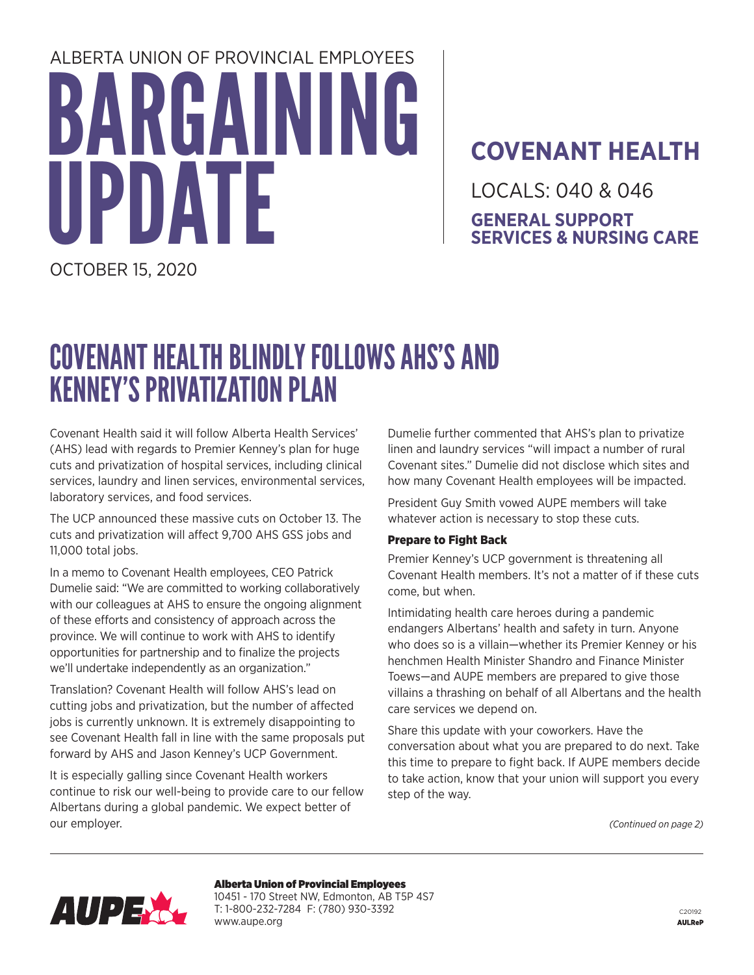# BARGAINING TF ALBERTA UNION OF PROVINCIAL EMPLOYEES

### **COVENANT HEALTH**

LOCALS: 040 & 046 **GENERAL SUPPORT SERVICES & NURSING CARE**

OCTOBER 15, 2020

## COVENANT HEALTH BLINDLY FOLLOWS AHS'S AND KENNEY'S PRIVATIZATION PLAN

Covenant Health said it will follow Alberta Health Services' (AHS) lead with regards to Premier Kenney's plan for huge cuts and privatization of hospital services, including clinical services, laundry and linen services, environmental services, laboratory services, and food services.

The UCP announced these massive cuts on October 13. The cuts and privatization will affect 9,700 AHS GSS jobs and 11,000 total jobs.

In a memo to Covenant Health employees, CEO Patrick Dumelie said: "We are committed to working collaboratively with our colleagues at AHS to ensure the ongoing alignment of these efforts and consistency of approach across the province. We will continue to work with AHS to identify opportunities for partnership and to finalize the projects we'll undertake independently as an organization."

Translation? Covenant Health will follow AHS's lead on cutting jobs and privatization, but the number of affected jobs is currently unknown. It is extremely disappointing to see Covenant Health fall in line with the same proposals put forward by AHS and Jason Kenney's UCP Government.

It is especially galling since Covenant Health workers continue to risk our well-being to provide care to our fellow Albertans during a global pandemic. We expect better of our employer.

Dumelie further commented that AHS's plan to privatize linen and laundry services "will impact a number of rural Covenant sites." Dumelie did not disclose which sites and how many Covenant Health employees will be impacted.

President Guy Smith vowed AUPE members will take whatever action is necessary to stop these cuts.

#### Prepare to Fight Back

Premier Kenney's UCP government is threatening all Covenant Health members. It's not a matter of if these cuts come, but when.

Intimidating health care heroes during a pandemic endangers Albertans' health and safety in turn. Anyone who does so is a villain—whether its Premier Kenney or his henchmen Health Minister Shandro and Finance Minister Toews—and AUPE members are prepared to give those villains a thrashing on behalf of all Albertans and the health care services we depend on.

Share this update with your coworkers. Have the conversation about what you are prepared to do next. Take this time to prepare to fight back. If AUPE members decide to take action, know that your union will support you every step of the way.

*(Continued on page 2)*



Alberta Union of Provincial Employees 10451 - 170 Street NW, Edmonton, AB T5P 4S7 T: 1-800-232-7284 F: (780) 930-3392 www.aupe.org